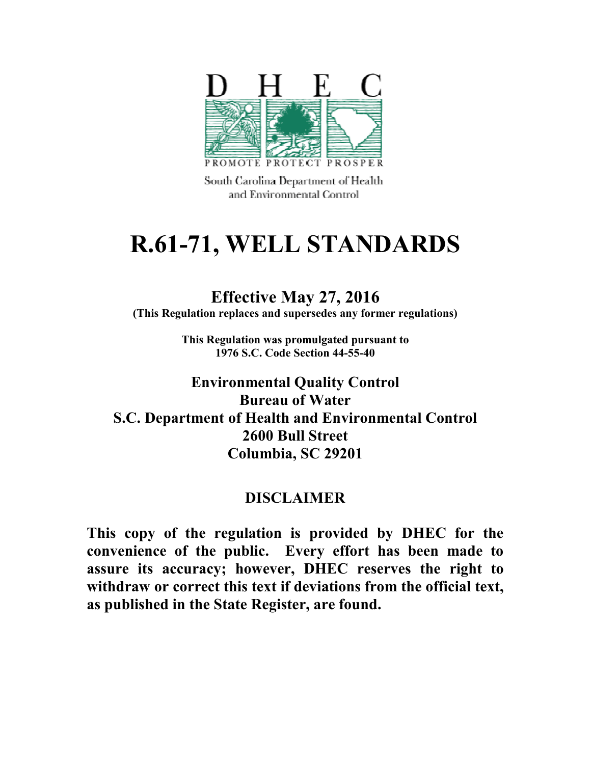

South Carolina Department of Health and Environmental Control.

# **R.61-71, WELL STANDARDS**

# **Effective May 27, 2016**

**(This Regulation replaces and supersedes any former regulations)** 

**This Regulation was promulgated pursuant to 1976 S.C. Code Section 44-55-40** 

**Environmental Quality Control Bureau of Water S.C. Department of Health and Environmental Control 2600 Bull Street Columbia, SC 29201** 

# **DISCLAIMER**

**This copy of the regulation is provided by DHEC for the convenience of the public. Every effort has been made to assure its accuracy; however, DHEC reserves the right to withdraw or correct this text if deviations from the official text, as published in the State Register, are found.**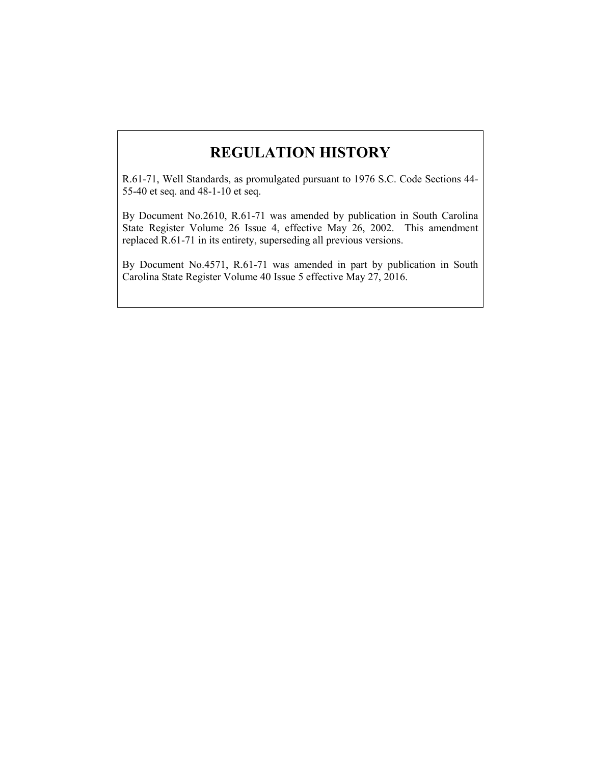# **REGULATION HISTORY**

R.61-71, Well Standards, as promulgated pursuant to 1976 S.C. Code Sections 44- 55-40 et seq. and 48-1-10 et seq.

By Document No.2610, R.61-71 was amended by publication in South Carolina State Register Volume 26 Issue 4, effective May 26, 2002. This amendment replaced R.61-71 in its entirety, superseding all previous versions.

By Document No.4571, R.61-71 was amended in part by publication in South Carolina State Register Volume 40 Issue 5 effective May 27, 2016.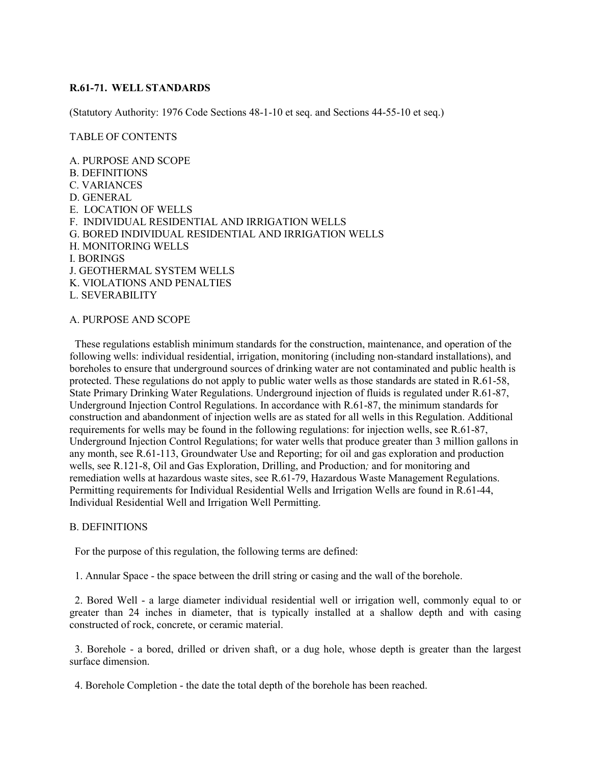# **R.61-71. WELL STANDARDS**

(Statutory Authority: 1976 Code Sections 48-1-10 et seq. and Sections 44-55-10 et seq.)

### TABLE OF CONTENTS

A. PURPOSE AND SCOPE B. DEFINITIONS C. VARIANCES D. GENERAL E. LOCATION OF WELLS F. INDIVIDUAL RESIDENTIAL AND IRRIGATION WELLS G. BORED INDIVIDUAL RESIDENTIAL AND IRRIGATION WELLS H. MONITORING WELLS I. BORINGS J. GEOTHERMAL SYSTEM WELLS K. VIOLATIONS AND PENALTIES L. SEVERABILITY

# A. PURPOSE AND SCOPE

 These regulations establish minimum standards for the construction, maintenance, and operation of the following wells: individual residential, irrigation, monitoring (including non-standard installations), and boreholes to ensure that underground sources of drinking water are not contaminated and public health is protected. These regulations do not apply to public water wells as those standards are stated in R.61-58, State Primary Drinking Water Regulations. Underground injection of fluids is regulated under R.61-87, Underground Injection Control Regulations. In accordance with R.61-87, the minimum standards for construction and abandonment of injection wells are as stated for all wells in this Regulation. Additional requirements for wells may be found in the following regulations: for injection wells, see R.61-87, Underground Injection Control Regulations; for water wells that produce greater than 3 million gallons in any month, see R.61-113, Groundwater Use and Reporting; for oil and gas exploration and production wells, see R.121-8, Oil and Gas Exploration, Drilling, and Production*;* and for monitoring and remediation wells at hazardous waste sites, see R.61-79, Hazardous Waste Management Regulations. Permitting requirements for Individual Residential Wells and Irrigation Wells are found in R.61-44, Individual Residential Well and Irrigation Well Permitting.

## B. DEFINITIONS

For the purpose of this regulation, the following terms are defined:

1. Annular Space - the space between the drill string or casing and the wall of the borehole.

 2. Bored Well - a large diameter individual residential well or irrigation well, commonly equal to or greater than 24 inches in diameter, that is typically installed at a shallow depth and with casing constructed of rock, concrete, or ceramic material.

 3. Borehole - a bored, drilled or driven shaft, or a dug hole, whose depth is greater than the largest surface dimension.

4. Borehole Completion - the date the total depth of the borehole has been reached.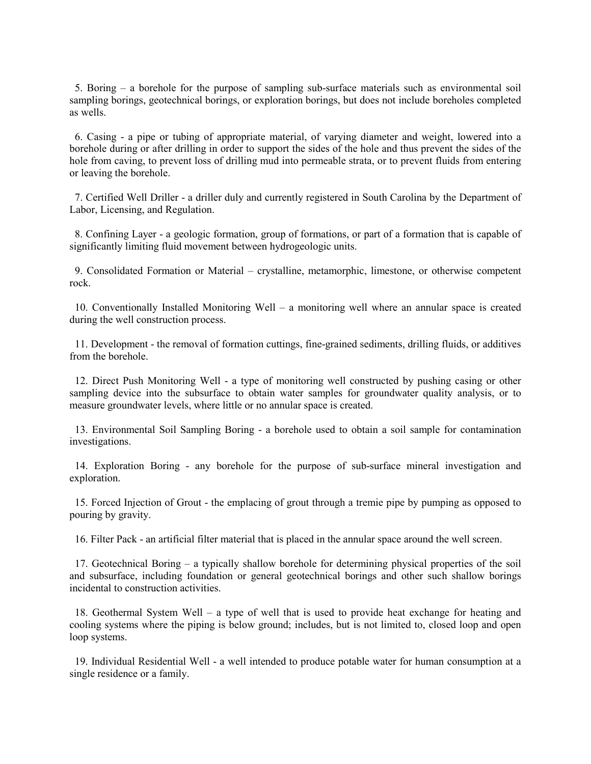5. Boring – a borehole for the purpose of sampling sub-surface materials such as environmental soil sampling borings, geotechnical borings, or exploration borings, but does not include boreholes completed as wells.

 6. Casing - a pipe or tubing of appropriate material, of varying diameter and weight, lowered into a borehole during or after drilling in order to support the sides of the hole and thus prevent the sides of the hole from caving, to prevent loss of drilling mud into permeable strata, or to prevent fluids from entering or leaving the borehole.

 7. Certified Well Driller - a driller duly and currently registered in South Carolina by the Department of Labor, Licensing, and Regulation.

 8. Confining Layer - a geologic formation, group of formations, or part of a formation that is capable of significantly limiting fluid movement between hydrogeologic units.

 9. Consolidated Formation or Material – crystalline, metamorphic, limestone, or otherwise competent rock.

 10. Conventionally Installed Monitoring Well – a monitoring well where an annular space is created during the well construction process.

 11. Development - the removal of formation cuttings, fine-grained sediments, drilling fluids, or additives from the borehole.

 12. Direct Push Monitoring Well - a type of monitoring well constructed by pushing casing or other sampling device into the subsurface to obtain water samples for groundwater quality analysis, or to measure groundwater levels, where little or no annular space is created.

 13. Environmental Soil Sampling Boring - a borehole used to obtain a soil sample for contamination investigations.

 14. Exploration Boring - any borehole for the purpose of sub-surface mineral investigation and exploration.

 15. Forced Injection of Grout - the emplacing of grout through a tremie pipe by pumping as opposed to pouring by gravity.

16. Filter Pack - an artificial filter material that is placed in the annular space around the well screen.

 17. Geotechnical Boring – a typically shallow borehole for determining physical properties of the soil and subsurface, including foundation or general geotechnical borings and other such shallow borings incidental to construction activities.

 18. Geothermal System Well – a type of well that is used to provide heat exchange for heating and cooling systems where the piping is below ground; includes, but is not limited to, closed loop and open loop systems.

 19. Individual Residential Well - a well intended to produce potable water for human consumption at a single residence or a family.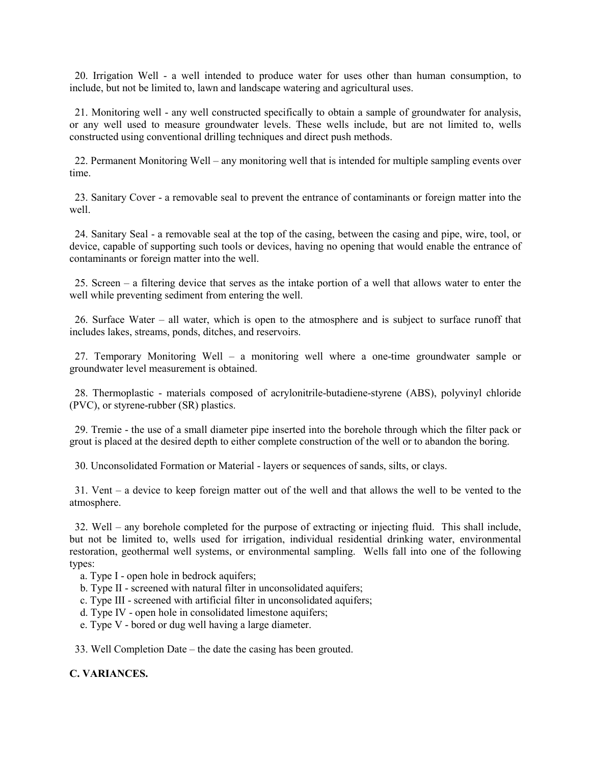20. Irrigation Well - a well intended to produce water for uses other than human consumption, to include, but not be limited to, lawn and landscape watering and agricultural uses.

 21. Monitoring well - any well constructed specifically to obtain a sample of groundwater for analysis, or any well used to measure groundwater levels. These wells include, but are not limited to, wells constructed using conventional drilling techniques and direct push methods.

 22. Permanent Monitoring Well – any monitoring well that is intended for multiple sampling events over time.

 23. Sanitary Cover - a removable seal to prevent the entrance of contaminants or foreign matter into the well.

 24. Sanitary Seal - a removable seal at the top of the casing, between the casing and pipe, wire, tool, or device, capable of supporting such tools or devices, having no opening that would enable the entrance of contaminants or foreign matter into the well.

 25. Screen – a filtering device that serves as the intake portion of a well that allows water to enter the well while preventing sediment from entering the well.

 26. Surface Water – all water, which is open to the atmosphere and is subject to surface runoff that includes lakes, streams, ponds, ditches, and reservoirs.

 27. Temporary Monitoring Well – a monitoring well where a one-time groundwater sample or groundwater level measurement is obtained.

 28. Thermoplastic - materials composed of acrylonitrile-butadiene-styrene (ABS), polyvinyl chloride (PVC), or styrene-rubber (SR) plastics.

 29. Tremie - the use of a small diameter pipe inserted into the borehole through which the filter pack or grout is placed at the desired depth to either complete construction of the well or to abandon the boring.

30. Unconsolidated Formation or Material - layers or sequences of sands, silts, or clays.

 31. Vent – a device to keep foreign matter out of the well and that allows the well to be vented to the atmosphere.

 32. Well – any borehole completed for the purpose of extracting or injecting fluid. This shall include, but not be limited to, wells used for irrigation, individual residential drinking water, environmental restoration, geothermal well systems, or environmental sampling. Wells fall into one of the following types:

- a. Type I open hole in bedrock aquifers;
- b. Type II screened with natural filter in unconsolidated aquifers;
- c. Type III screened with artificial filter in unconsolidated aquifers;
- d. Type IV open hole in consolidated limestone aquifers;
- e. Type V bored or dug well having a large diameter.

33. Well Completion Date – the date the casing has been grouted.

# **C. VARIANCES.**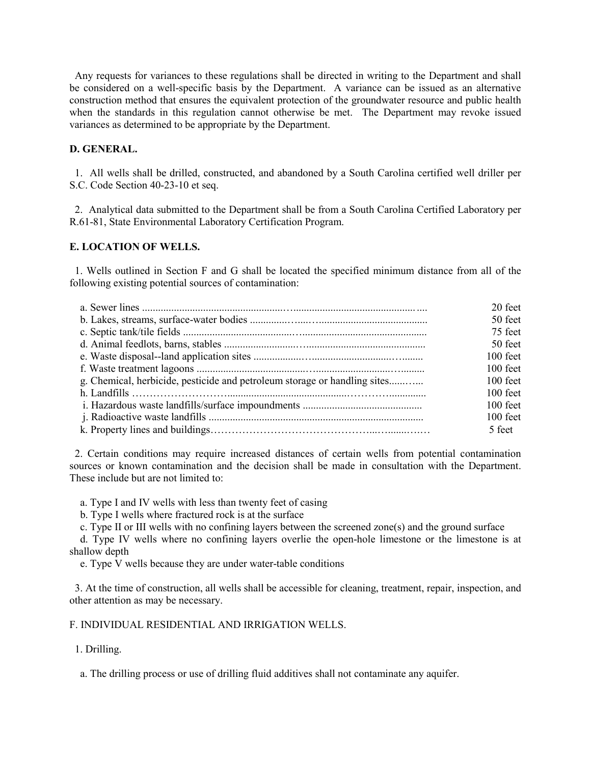Any requests for variances to these regulations shall be directed in writing to the Department and shall be considered on a well-specific basis by the Department. A variance can be issued as an alternative construction method that ensures the equivalent protection of the groundwater resource and public health when the standards in this regulation cannot otherwise be met. The Department may revoke issued variances as determined to be appropriate by the Department.

# **D. GENERAL.**

 1. All wells shall be drilled, constructed, and abandoned by a South Carolina certified well driller per S.C. Code Section 40-23-10 et seq.

 2. Analytical data submitted to the Department shall be from a South Carolina Certified Laboratory per R.61-81, State Environmental Laboratory Certification Program.

# **E. LOCATION OF WELLS.**

 1. Wells outlined in Section F and G shall be located the specified minimum distance from all of the following existing potential sources of contamination:

|                                                                           | 20 feet    |
|---------------------------------------------------------------------------|------------|
|                                                                           | 50 feet    |
|                                                                           | 75 feet    |
|                                                                           | 50 feet    |
|                                                                           | $100$ feet |
|                                                                           | $100$ feet |
| g. Chemical, herbicide, pesticide and petroleum storage or handling sites | $100$ feet |
|                                                                           | $100$ feet |
|                                                                           | $100$ feet |
|                                                                           | $100$ feet |
|                                                                           | 5 feet     |

 2. Certain conditions may require increased distances of certain wells from potential contamination sources or known contamination and the decision shall be made in consultation with the Department. These include but are not limited to:

a. Type I and IV wells with less than twenty feet of casing

b. Type I wells where fractured rock is at the surface

c. Type II or III wells with no confining layers between the screened zone(s) and the ground surface

 d. Type IV wells where no confining layers overlie the open-hole limestone or the limestone is at shallow depth

e. Type V wells because they are under water-table conditions

 3. At the time of construction, all wells shall be accessible for cleaning, treatment, repair, inspection, and other attention as may be necessary.

# F. INDIVIDUAL RESIDENTIAL AND IRRIGATION WELLS.

1. Drilling.

a. The drilling process or use of drilling fluid additives shall not contaminate any aquifer.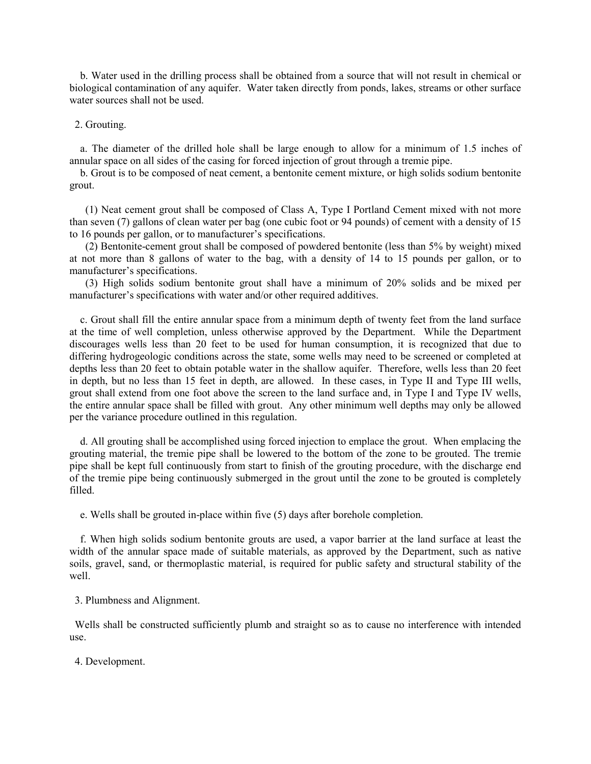b. Water used in the drilling process shall be obtained from a source that will not result in chemical or biological contamination of any aquifer. Water taken directly from ponds, lakes, streams or other surface water sources shall not be used.

#### 2. Grouting.

 a. The diameter of the drilled hole shall be large enough to allow for a minimum of 1.5 inches of annular space on all sides of the casing for forced injection of grout through a tremie pipe.

 b. Grout is to be composed of neat cement, a bentonite cement mixture, or high solids sodium bentonite grout.

 (1) Neat cement grout shall be composed of Class A, Type I Portland Cement mixed with not more than seven (7) gallons of clean water per bag (one cubic foot or 94 pounds) of cement with a density of 15 to 16 pounds per gallon, or to manufacturer's specifications.

 (2) Bentonite-cement grout shall be composed of powdered bentonite (less than 5% by weight) mixed at not more than 8 gallons of water to the bag, with a density of 14 to 15 pounds per gallon, or to manufacturer's specifications.

 (3) High solids sodium bentonite grout shall have a minimum of 20% solids and be mixed per manufacturer's specifications with water and/or other required additives.

 c. Grout shall fill the entire annular space from a minimum depth of twenty feet from the land surface at the time of well completion, unless otherwise approved by the Department. While the Department discourages wells less than 20 feet to be used for human consumption, it is recognized that due to differing hydrogeologic conditions across the state, some wells may need to be screened or completed at depths less than 20 feet to obtain potable water in the shallow aquifer. Therefore, wells less than 20 feet in depth, but no less than 15 feet in depth, are allowed. In these cases, in Type II and Type III wells, grout shall extend from one foot above the screen to the land surface and, in Type I and Type IV wells, the entire annular space shall be filled with grout. Any other minimum well depths may only be allowed per the variance procedure outlined in this regulation.

 d. All grouting shall be accomplished using forced injection to emplace the grout. When emplacing the grouting material, the tremie pipe shall be lowered to the bottom of the zone to be grouted. The tremie pipe shall be kept full continuously from start to finish of the grouting procedure, with the discharge end of the tremie pipe being continuously submerged in the grout until the zone to be grouted is completely filled.

e. Wells shall be grouted in-place within five (5) days after borehole completion.

 f. When high solids sodium bentonite grouts are used, a vapor barrier at the land surface at least the width of the annular space made of suitable materials, as approved by the Department, such as native soils, gravel, sand, or thermoplastic material, is required for public safety and structural stability of the well.

3. Plumbness and Alignment.

 Wells shall be constructed sufficiently plumb and straight so as to cause no interference with intended use.

4. Development.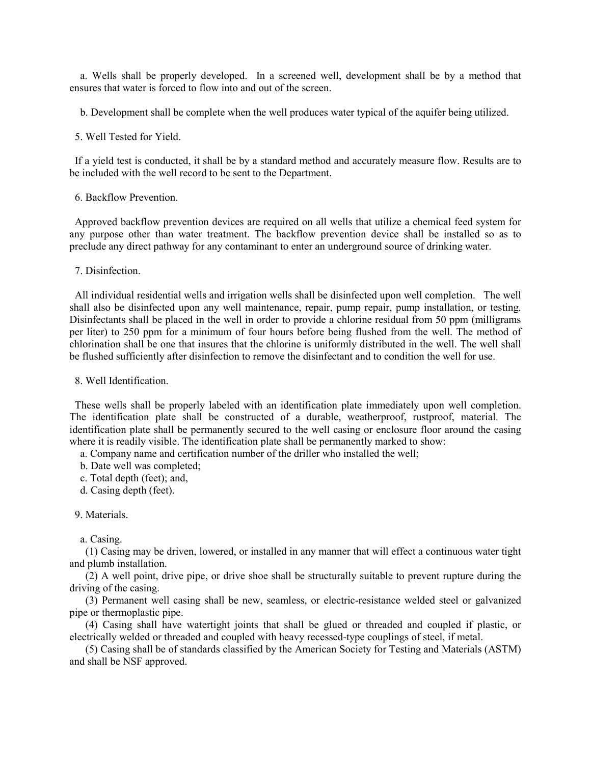a. Wells shall be properly developed. In a screened well, development shall be by a method that ensures that water is forced to flow into and out of the screen.

b. Development shall be complete when the well produces water typical of the aquifer being utilized.

5. Well Tested for Yield.

 If a yield test is conducted, it shall be by a standard method and accurately measure flow. Results are to be included with the well record to be sent to the Department.

## 6. Backflow Prevention.

 Approved backflow prevention devices are required on all wells that utilize a chemical feed system for any purpose other than water treatment. The backflow prevention device shall be installed so as to preclude any direct pathway for any contaminant to enter an underground source of drinking water.

7. Disinfection.

 All individual residential wells and irrigation wells shall be disinfected upon well completion. The well shall also be disinfected upon any well maintenance, repair, pump repair, pump installation, or testing. Disinfectants shall be placed in the well in order to provide a chlorine residual from 50 ppm (milligrams per liter) to 250 ppm for a minimum of four hours before being flushed from the well. The method of chlorination shall be one that insures that the chlorine is uniformly distributed in the well. The well shall be flushed sufficiently after disinfection to remove the disinfectant and to condition the well for use.

8. Well Identification.

 These wells shall be properly labeled with an identification plate immediately upon well completion. The identification plate shall be constructed of a durable, weatherproof, rustproof, material. The identification plate shall be permanently secured to the well casing or enclosure floor around the casing where it is readily visible. The identification plate shall be permanently marked to show:

a. Company name and certification number of the driller who installed the well;

b. Date well was completed;

- c. Total depth (feet); and,
- d. Casing depth (feet).

9. Materials.

a. Casing.

 (1) Casing may be driven, lowered, or installed in any manner that will effect a continuous water tight and plumb installation.

 (2) A well point, drive pipe, or drive shoe shall be structurally suitable to prevent rupture during the driving of the casing.

 (3) Permanent well casing shall be new, seamless, or electric-resistance welded steel or galvanized pipe or thermoplastic pipe.

 (4) Casing shall have watertight joints that shall be glued or threaded and coupled if plastic, or electrically welded or threaded and coupled with heavy recessed-type couplings of steel, if metal.

 (5) Casing shall be of standards classified by the American Society for Testing and Materials (ASTM) and shall be NSF approved.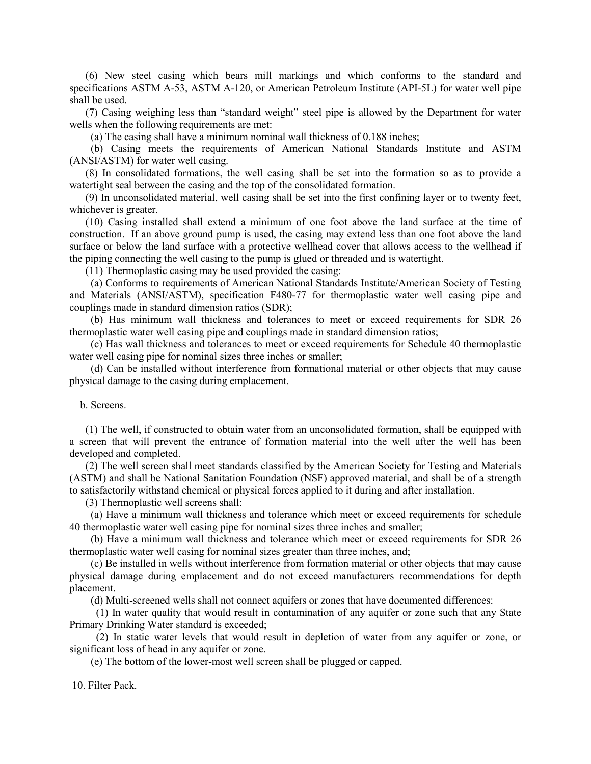(6) New steel casing which bears mill markings and which conforms to the standard and specifications ASTM A-53, ASTM A-120, or American Petroleum Institute (API-5L) for water well pipe shall be used.

 (7) Casing weighing less than "standard weight" steel pipe is allowed by the Department for water wells when the following requirements are met:

(a) The casing shall have a minimum nominal wall thickness of 0.188 inches;

 (b) Casing meets the requirements of American National Standards Institute and ASTM (ANSI/ASTM) for water well casing.

 (8) In consolidated formations, the well casing shall be set into the formation so as to provide a watertight seal between the casing and the top of the consolidated formation.

 (9) In unconsolidated material, well casing shall be set into the first confining layer or to twenty feet, whichever is greater.

 (10) Casing installed shall extend a minimum of one foot above the land surface at the time of construction. If an above ground pump is used, the casing may extend less than one foot above the land surface or below the land surface with a protective wellhead cover that allows access to the wellhead if the piping connecting the well casing to the pump is glued or threaded and is watertight.

(11) Thermoplastic casing may be used provided the casing:

 (a) Conforms to requirements of American National Standards Institute/American Society of Testing and Materials (ANSI/ASTM), specification F480-77 for thermoplastic water well casing pipe and couplings made in standard dimension ratios (SDR);

 (b) Has minimum wall thickness and tolerances to meet or exceed requirements for SDR 26 thermoplastic water well casing pipe and couplings made in standard dimension ratios;

 (c) Has wall thickness and tolerances to meet or exceed requirements for Schedule 40 thermoplastic water well casing pipe for nominal sizes three inches or smaller;

 (d) Can be installed without interference from formational material or other objects that may cause physical damage to the casing during emplacement.

b. Screens.

 (1) The well, if constructed to obtain water from an unconsolidated formation, shall be equipped with a screen that will prevent the entrance of formation material into the well after the well has been developed and completed.

 (2) The well screen shall meet standards classified by the American Society for Testing and Materials (ASTM) and shall be National Sanitation Foundation (NSF) approved material, and shall be of a strength to satisfactorily withstand chemical or physical forces applied to it during and after installation.

(3) Thermoplastic well screens shall:

 (a) Have a minimum wall thickness and tolerance which meet or exceed requirements for schedule 40 thermoplastic water well casing pipe for nominal sizes three inches and smaller;

 (b) Have a minimum wall thickness and tolerance which meet or exceed requirements for SDR 26 thermoplastic water well casing for nominal sizes greater than three inches, and;

 (c) Be installed in wells without interference from formation material or other objects that may cause physical damage during emplacement and do not exceed manufacturers recommendations for depth placement.

(d) Multi-screened wells shall not connect aquifers or zones that have documented differences:

 (1) In water quality that would result in contamination of any aquifer or zone such that any State Primary Drinking Water standard is exceeded;

 (2) In static water levels that would result in depletion of water from any aquifer or zone, or significant loss of head in any aquifer or zone.

(e) The bottom of the lower-most well screen shall be plugged or capped.

10. Filter Pack.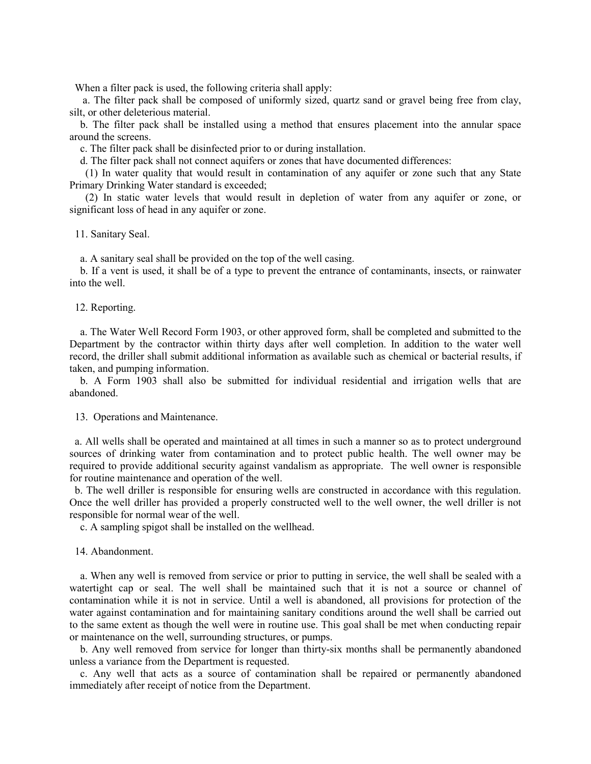When a filter pack is used, the following criteria shall apply:

 a. The filter pack shall be composed of uniformly sized, quartz sand or gravel being free from clay, silt, or other deleterious material.

 b. The filter pack shall be installed using a method that ensures placement into the annular space around the screens.

c. The filter pack shall be disinfected prior to or during installation.

d. The filter pack shall not connect aquifers or zones that have documented differences:

 (1) In water quality that would result in contamination of any aquifer or zone such that any State Primary Drinking Water standard is exceeded;

 (2) In static water levels that would result in depletion of water from any aquifer or zone, or significant loss of head in any aquifer or zone.

11. Sanitary Seal.

a. A sanitary seal shall be provided on the top of the well casing.

 b. If a vent is used, it shall be of a type to prevent the entrance of contaminants, insects, or rainwater into the well.

#### 12. Reporting.

 a. The Water Well Record Form 1903, or other approved form, shall be completed and submitted to the Department by the contractor within thirty days after well completion. In addition to the water well record, the driller shall submit additional information as available such as chemical or bacterial results, if taken, and pumping information.

 b. A Form 1903 shall also be submitted for individual residential and irrigation wells that are abandoned.

13. Operations and Maintenance.

 a. All wells shall be operated and maintained at all times in such a manner so as to protect underground sources of drinking water from contamination and to protect public health. The well owner may be required to provide additional security against vandalism as appropriate. The well owner is responsible for routine maintenance and operation of the well.

 b. The well driller is responsible for ensuring wells are constructed in accordance with this regulation. Once the well driller has provided a properly constructed well to the well owner, the well driller is not responsible for normal wear of the well.

c. A sampling spigot shall be installed on the wellhead.

# 14. Abandonment.

 a. When any well is removed from service or prior to putting in service, the well shall be sealed with a watertight cap or seal. The well shall be maintained such that it is not a source or channel of contamination while it is not in service. Until a well is abandoned, all provisions for protection of the water against contamination and for maintaining sanitary conditions around the well shall be carried out to the same extent as though the well were in routine use. This goal shall be met when conducting repair or maintenance on the well, surrounding structures, or pumps.

 b. Any well removed from service for longer than thirty-six months shall be permanently abandoned unless a variance from the Department is requested.

 c. Any well that acts as a source of contamination shall be repaired or permanently abandoned immediately after receipt of notice from the Department.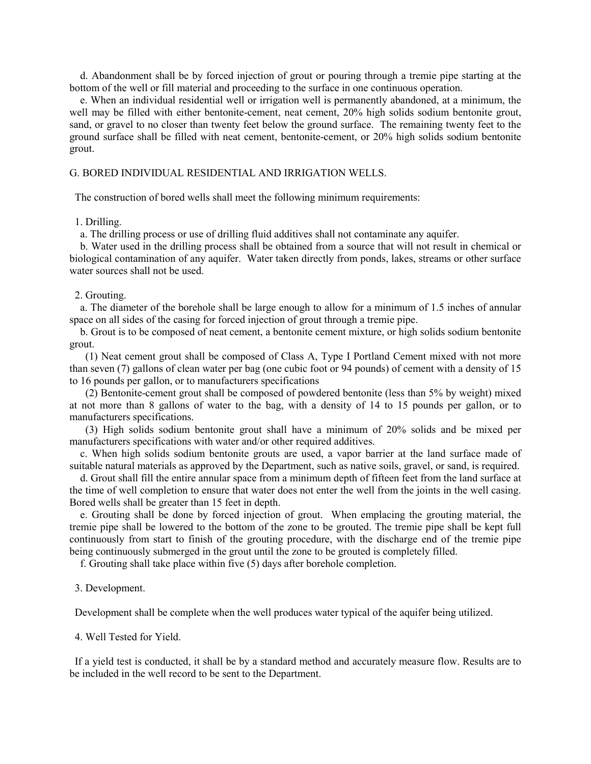d. Abandonment shall be by forced injection of grout or pouring through a tremie pipe starting at the bottom of the well or fill material and proceeding to the surface in one continuous operation.

 e. When an individual residential well or irrigation well is permanently abandoned, at a minimum, the well may be filled with either bentonite-cement, neat cement, 20% high solids sodium bentonite grout, sand, or gravel to no closer than twenty feet below the ground surface. The remaining twenty feet to the ground surface shall be filled with neat cement, bentonite-cement, or 20% high solids sodium bentonite grout.

#### G. BORED INDIVIDUAL RESIDENTIAL AND IRRIGATION WELLS.

The construction of bored wells shall meet the following minimum requirements:

#### 1. Drilling.

a. The drilling process or use of drilling fluid additives shall not contaminate any aquifer.

 b. Water used in the drilling process shall be obtained from a source that will not result in chemical or biological contamination of any aquifer. Water taken directly from ponds, lakes, streams or other surface water sources shall not be used.

#### 2. Grouting.

 a. The diameter of the borehole shall be large enough to allow for a minimum of 1.5 inches of annular space on all sides of the casing for forced injection of grout through a tremie pipe.

 b. Grout is to be composed of neat cement, a bentonite cement mixture, or high solids sodium bentonite grout.

 (1) Neat cement grout shall be composed of Class A, Type I Portland Cement mixed with not more than seven (7) gallons of clean water per bag (one cubic foot or 94 pounds) of cement with a density of 15 to 16 pounds per gallon, or to manufacturers specifications

 (2) Bentonite-cement grout shall be composed of powdered bentonite (less than 5% by weight) mixed at not more than 8 gallons of water to the bag, with a density of 14 to 15 pounds per gallon, or to manufacturers specifications.

 (3) High solids sodium bentonite grout shall have a minimum of 20% solids and be mixed per manufacturers specifications with water and/or other required additives.

 c. When high solids sodium bentonite grouts are used, a vapor barrier at the land surface made of suitable natural materials as approved by the Department, such as native soils, gravel, or sand, is required.

 d. Grout shall fill the entire annular space from a minimum depth of fifteen feet from the land surface at the time of well completion to ensure that water does not enter the well from the joints in the well casing. Bored wells shall be greater than 15 feet in depth.

 e. Grouting shall be done by forced injection of grout. When emplacing the grouting material, the tremie pipe shall be lowered to the bottom of the zone to be grouted. The tremie pipe shall be kept full continuously from start to finish of the grouting procedure, with the discharge end of the tremie pipe being continuously submerged in the grout until the zone to be grouted is completely filled.

f. Grouting shall take place within five (5) days after borehole completion.

#### 3. Development.

Development shall be complete when the well produces water typical of the aquifer being utilized.

#### 4. Well Tested for Yield.

 If a yield test is conducted, it shall be by a standard method and accurately measure flow. Results are to be included in the well record to be sent to the Department.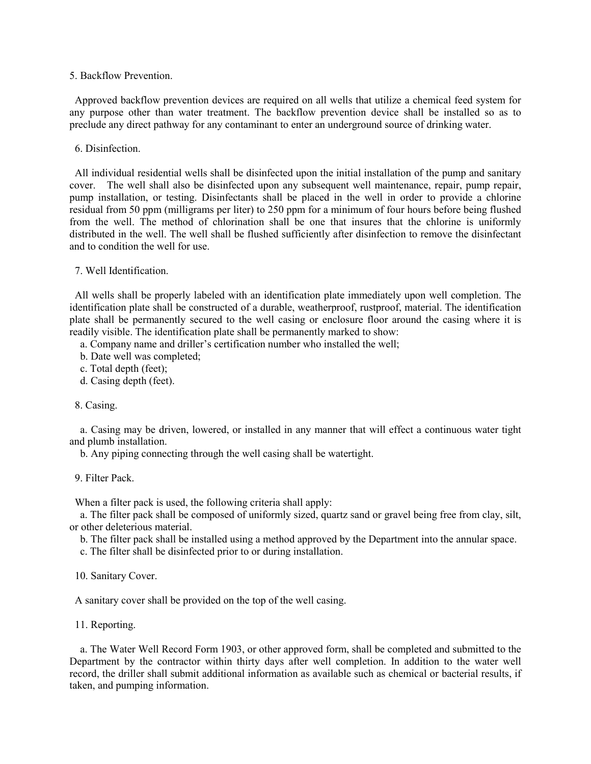5. Backflow Prevention.

 Approved backflow prevention devices are required on all wells that utilize a chemical feed system for any purpose other than water treatment. The backflow prevention device shall be installed so as to preclude any direct pathway for any contaminant to enter an underground source of drinking water.

6. Disinfection.

 All individual residential wells shall be disinfected upon the initial installation of the pump and sanitary cover. The well shall also be disinfected upon any subsequent well maintenance, repair, pump repair, pump installation, or testing. Disinfectants shall be placed in the well in order to provide a chlorine residual from 50 ppm (milligrams per liter) to 250 ppm for a minimum of four hours before being flushed from the well. The method of chlorination shall be one that insures that the chlorine is uniformly distributed in the well. The well shall be flushed sufficiently after disinfection to remove the disinfectant and to condition the well for use.

7. Well Identification.

 All wells shall be properly labeled with an identification plate immediately upon well completion. The identification plate shall be constructed of a durable, weatherproof, rustproof, material. The identification plate shall be permanently secured to the well casing or enclosure floor around the casing where it is readily visible. The identification plate shall be permanently marked to show:

a. Company name and driller's certification number who installed the well;

b. Date well was completed;

c. Total depth (feet);

d. Casing depth (feet).

#### 8. Casing.

 a. Casing may be driven, lowered, or installed in any manner that will effect a continuous water tight and plumb installation.

b. Any piping connecting through the well casing shall be watertight.

9. Filter Pack.

When a filter pack is used, the following criteria shall apply:

 a. The filter pack shall be composed of uniformly sized, quartz sand or gravel being free from clay, silt, or other deleterious material.

b. The filter pack shall be installed using a method approved by the Department into the annular space.

c. The filter shall be disinfected prior to or during installation.

10. Sanitary Cover.

A sanitary cover shall be provided on the top of the well casing.

11. Reporting.

 a. The Water Well Record Form 1903, or other approved form, shall be completed and submitted to the Department by the contractor within thirty days after well completion. In addition to the water well record, the driller shall submit additional information as available such as chemical or bacterial results, if taken, and pumping information.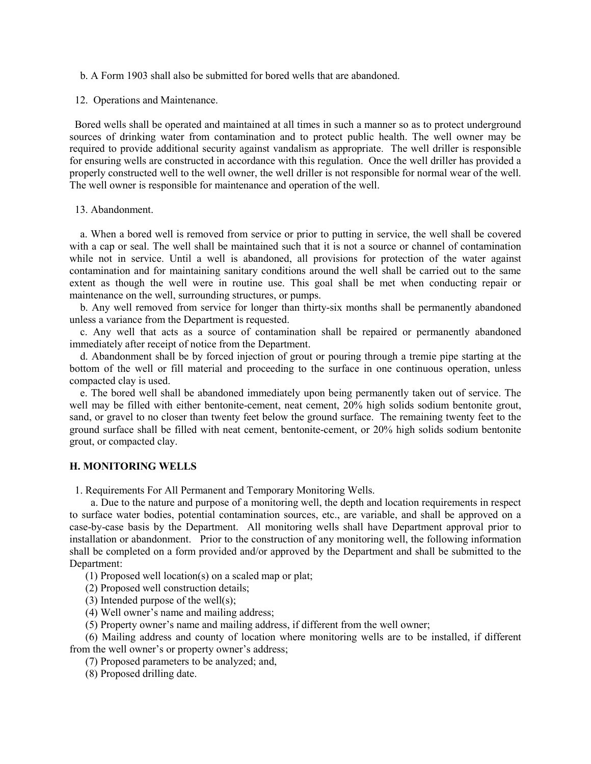- b. A Form 1903 shall also be submitted for bored wells that are abandoned.
- 12. Operations and Maintenance.

 Bored wells shall be operated and maintained at all times in such a manner so as to protect underground sources of drinking water from contamination and to protect public health. The well owner may be required to provide additional security against vandalism as appropriate. The well driller is responsible for ensuring wells are constructed in accordance with this regulation. Once the well driller has provided a properly constructed well to the well owner, the well driller is not responsible for normal wear of the well. The well owner is responsible for maintenance and operation of the well.

13. Abandonment.

 a. When a bored well is removed from service or prior to putting in service, the well shall be covered with a cap or seal. The well shall be maintained such that it is not a source or channel of contamination while not in service. Until a well is abandoned, all provisions for protection of the water against contamination and for maintaining sanitary conditions around the well shall be carried out to the same extent as though the well were in routine use. This goal shall be met when conducting repair or maintenance on the well, surrounding structures, or pumps.

 b. Any well removed from service for longer than thirty-six months shall be permanently abandoned unless a variance from the Department is requested.

 c. Any well that acts as a source of contamination shall be repaired or permanently abandoned immediately after receipt of notice from the Department.

 d. Abandonment shall be by forced injection of grout or pouring through a tremie pipe starting at the bottom of the well or fill material and proceeding to the surface in one continuous operation, unless compacted clay is used.

 e. The bored well shall be abandoned immediately upon being permanently taken out of service. The well may be filled with either bentonite-cement, neat cement, 20% high solids sodium bentonite grout, sand, or gravel to no closer than twenty feet below the ground surface. The remaining twenty feet to the ground surface shall be filled with neat cement, bentonite-cement, or 20% high solids sodium bentonite grout, or compacted clay.

#### **H. MONITORING WELLS**

1. Requirements For All Permanent and Temporary Monitoring Wells.

 a. Due to the nature and purpose of a monitoring well, the depth and location requirements in respect to surface water bodies, potential contamination sources, etc., are variable, and shall be approved on a case-by-case basis by the Department. All monitoring wells shall have Department approval prior to installation or abandonment. Prior to the construction of any monitoring well, the following information shall be completed on a form provided and/or approved by the Department and shall be submitted to the Department:

(1) Proposed well location(s) on a scaled map or plat;

(2) Proposed well construction details;

(3) Intended purpose of the well(s);

(4) Well owner's name and mailing address;

(5) Property owner's name and mailing address, if different from the well owner;

 (6) Mailing address and county of location where monitoring wells are to be installed, if different from the well owner's or property owner's address;

(7) Proposed parameters to be analyzed; and,

(8) Proposed drilling date.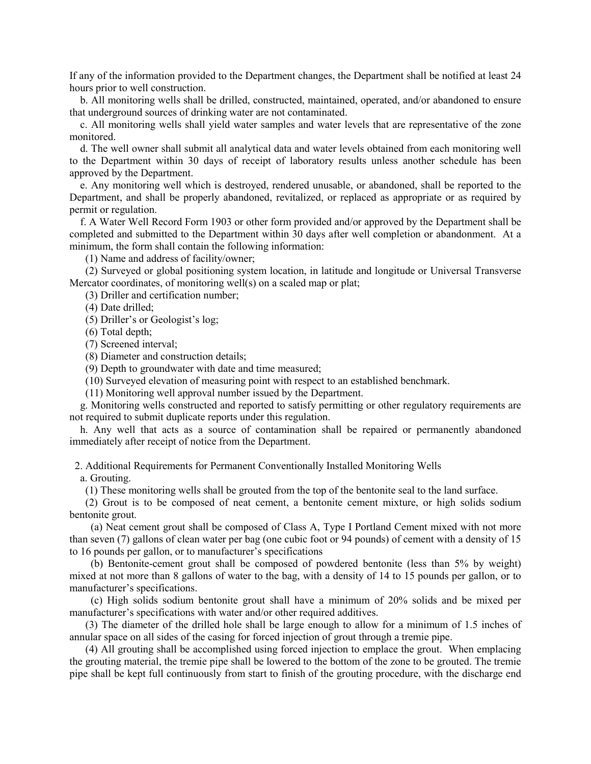If any of the information provided to the Department changes, the Department shall be notified at least 24 hours prior to well construction.

 b. All monitoring wells shall be drilled, constructed, maintained, operated, and/or abandoned to ensure that underground sources of drinking water are not contaminated.

 c. All monitoring wells shall yield water samples and water levels that are representative of the zone monitored.

 d. The well owner shall submit all analytical data and water levels obtained from each monitoring well to the Department within 30 days of receipt of laboratory results unless another schedule has been approved by the Department.

 e. Any monitoring well which is destroyed, rendered unusable, or abandoned, shall be reported to the Department, and shall be properly abandoned, revitalized, or replaced as appropriate or as required by permit or regulation.

 f. A Water Well Record Form 1903 or other form provided and/or approved by the Department shall be completed and submitted to the Department within 30 days after well completion or abandonment. At a minimum, the form shall contain the following information:

(1) Name and address of facility/owner;

 (2) Surveyed or global positioning system location, in latitude and longitude or Universal Transverse Mercator coordinates, of monitoring well(s) on a scaled map or plat;

(3) Driller and certification number;

(4) Date drilled;

(5) Driller's or Geologist's log;

(6) Total depth;

(7) Screened interval;

(8) Diameter and construction details;

(9) Depth to groundwater with date and time measured;

(10) Surveyed elevation of measuring point with respect to an established benchmark.

(11) Monitoring well approval number issued by the Department.

 g. Monitoring wells constructed and reported to satisfy permitting or other regulatory requirements are not required to submit duplicate reports under this regulation.

 h. Any well that acts as a source of contamination shall be repaired or permanently abandoned immediately after receipt of notice from the Department.

2. Additional Requirements for Permanent Conventionally Installed Monitoring Wells

a. Grouting.

(1) These monitoring wells shall be grouted from the top of the bentonite seal to the land surface.

 (2) Grout is to be composed of neat cement, a bentonite cement mixture, or high solids sodium bentonite grout.

 (a) Neat cement grout shall be composed of Class A, Type I Portland Cement mixed with not more than seven (7) gallons of clean water per bag (one cubic foot or 94 pounds) of cement with a density of 15 to 16 pounds per gallon, or to manufacturer's specifications

 (b) Bentonite-cement grout shall be composed of powdered bentonite (less than 5% by weight) mixed at not more than 8 gallons of water to the bag, with a density of 14 to 15 pounds per gallon, or to manufacturer's specifications.

 (c) High solids sodium bentonite grout shall have a minimum of 20% solids and be mixed per manufacturer's specifications with water and/or other required additives.

 (3) The diameter of the drilled hole shall be large enough to allow for a minimum of 1.5 inches of annular space on all sides of the casing for forced injection of grout through a tremie pipe.

 (4) All grouting shall be accomplished using forced injection to emplace the grout. When emplacing the grouting material, the tremie pipe shall be lowered to the bottom of the zone to be grouted. The tremie pipe shall be kept full continuously from start to finish of the grouting procedure, with the discharge end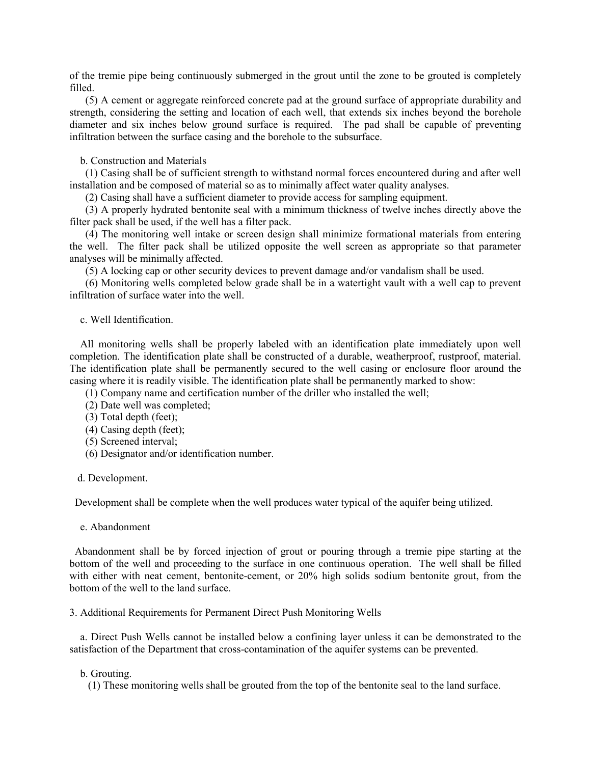of the tremie pipe being continuously submerged in the grout until the zone to be grouted is completely filled.

 (5) A cement or aggregate reinforced concrete pad at the ground surface of appropriate durability and strength, considering the setting and location of each well, that extends six inches beyond the borehole diameter and six inches below ground surface is required. The pad shall be capable of preventing infiltration between the surface casing and the borehole to the subsurface.

# b. Construction and Materials

 (1) Casing shall be of sufficient strength to withstand normal forces encountered during and after well installation and be composed of material so as to minimally affect water quality analyses.

(2) Casing shall have a sufficient diameter to provide access for sampling equipment.

 (3) A properly hydrated bentonite seal with a minimum thickness of twelve inches directly above the filter pack shall be used, if the well has a filter pack.

 (4) The monitoring well intake or screen design shall minimize formational materials from entering the well. The filter pack shall be utilized opposite the well screen as appropriate so that parameter analyses will be minimally affected.

(5) A locking cap or other security devices to prevent damage and/or vandalism shall be used.

 (6) Monitoring wells completed below grade shall be in a watertight vault with a well cap to prevent infiltration of surface water into the well.

c. Well Identification.

 All monitoring wells shall be properly labeled with an identification plate immediately upon well completion. The identification plate shall be constructed of a durable, weatherproof, rustproof, material. The identification plate shall be permanently secured to the well casing or enclosure floor around the casing where it is readily visible. The identification plate shall be permanently marked to show:

(1) Company name and certification number of the driller who installed the well;

- (2) Date well was completed;
- (3) Total depth (feet);
- (4) Casing depth (feet);
- (5) Screened interval;
- (6) Designator and/or identification number.

#### d. Development.

Development shall be complete when the well produces water typical of the aquifer being utilized.

e. Abandonment

 Abandonment shall be by forced injection of grout or pouring through a tremie pipe starting at the bottom of the well and proceeding to the surface in one continuous operation. The well shall be filled with either with neat cement, bentonite-cement, or 20% high solids sodium bentonite grout, from the bottom of the well to the land surface.

3. Additional Requirements for Permanent Direct Push Monitoring Wells

 a. Direct Push Wells cannot be installed below a confining layer unless it can be demonstrated to the satisfaction of the Department that cross-contamination of the aquifer systems can be prevented.

#### b. Grouting.

(1) These monitoring wells shall be grouted from the top of the bentonite seal to the land surface.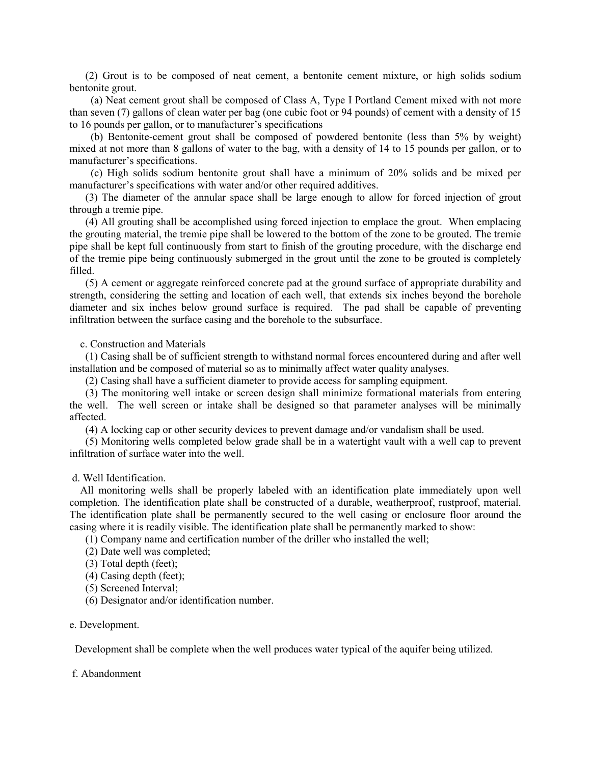(2) Grout is to be composed of neat cement, a bentonite cement mixture, or high solids sodium bentonite grout.

 (a) Neat cement grout shall be composed of Class A, Type I Portland Cement mixed with not more than seven (7) gallons of clean water per bag (one cubic foot or 94 pounds) of cement with a density of 15 to 16 pounds per gallon, or to manufacturer's specifications

 (b) Bentonite-cement grout shall be composed of powdered bentonite (less than 5% by weight) mixed at not more than 8 gallons of water to the bag, with a density of 14 to 15 pounds per gallon, or to manufacturer's specifications.

 (c) High solids sodium bentonite grout shall have a minimum of 20% solids and be mixed per manufacturer's specifications with water and/or other required additives.

 (3) The diameter of the annular space shall be large enough to allow for forced injection of grout through a tremie pipe.

 (4) All grouting shall be accomplished using forced injection to emplace the grout. When emplacing the grouting material, the tremie pipe shall be lowered to the bottom of the zone to be grouted. The tremie pipe shall be kept full continuously from start to finish of the grouting procedure, with the discharge end of the tremie pipe being continuously submerged in the grout until the zone to be grouted is completely filled.

 (5) A cement or aggregate reinforced concrete pad at the ground surface of appropriate durability and strength, considering the setting and location of each well, that extends six inches beyond the borehole diameter and six inches below ground surface is required. The pad shall be capable of preventing infiltration between the surface casing and the borehole to the subsurface.

c. Construction and Materials

 (1) Casing shall be of sufficient strength to withstand normal forces encountered during and after well installation and be composed of material so as to minimally affect water quality analyses.

(2) Casing shall have a sufficient diameter to provide access for sampling equipment.

 (3) The monitoring well intake or screen design shall minimize formational materials from entering the well. The well screen or intake shall be designed so that parameter analyses will be minimally affected.

(4) A locking cap or other security devices to prevent damage and/or vandalism shall be used.

 (5) Monitoring wells completed below grade shall be in a watertight vault with a well cap to prevent infiltration of surface water into the well.

d. Well Identification.

 All monitoring wells shall be properly labeled with an identification plate immediately upon well completion. The identification plate shall be constructed of a durable, weatherproof, rustproof, material. The identification plate shall be permanently secured to the well casing or enclosure floor around the casing where it is readily visible. The identification plate shall be permanently marked to show:

(1) Company name and certification number of the driller who installed the well;

(2) Date well was completed;

- (3) Total depth (feet);
- (4) Casing depth (feet);
- (5) Screened Interval;
- (6) Designator and/or identification number.

#### e. Development.

Development shall be complete when the well produces water typical of the aquifer being utilized.

#### f. Abandonment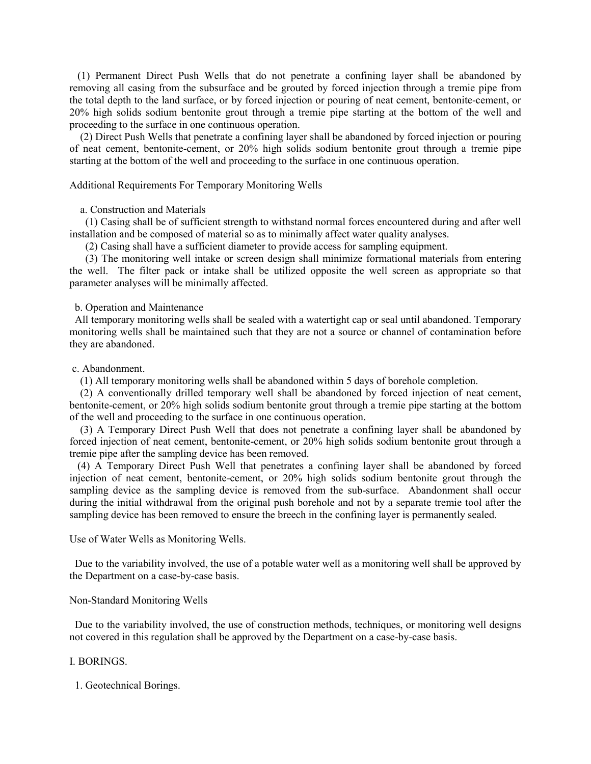(1) Permanent Direct Push Wells that do not penetrate a confining layer shall be abandoned by removing all casing from the subsurface and be grouted by forced injection through a tremie pipe from the total depth to the land surface, or by forced injection or pouring of neat cement, bentonite-cement, or 20% high solids sodium bentonite grout through a tremie pipe starting at the bottom of the well and proceeding to the surface in one continuous operation.

 (2) Direct Push Wells that penetrate a confining layer shall be abandoned by forced injection or pouring of neat cement, bentonite-cement, or 20% high solids sodium bentonite grout through a tremie pipe starting at the bottom of the well and proceeding to the surface in one continuous operation.

### Additional Requirements For Temporary Monitoring Wells

# a. Construction and Materials

 (1) Casing shall be of sufficient strength to withstand normal forces encountered during and after well installation and be composed of material so as to minimally affect water quality analyses.

(2) Casing shall have a sufficient diameter to provide access for sampling equipment.

 (3) The monitoring well intake or screen design shall minimize formational materials from entering the well. The filter pack or intake shall be utilized opposite the well screen as appropriate so that parameter analyses will be minimally affected.

b. Operation and Maintenance

 All temporary monitoring wells shall be sealed with a watertight cap or seal until abandoned. Temporary monitoring wells shall be maintained such that they are not a source or channel of contamination before they are abandoned.

# c. Abandonment.

(1) All temporary monitoring wells shall be abandoned within 5 days of borehole completion.

 (2) A conventionally drilled temporary well shall be abandoned by forced injection of neat cement, bentonite-cement, or 20% high solids sodium bentonite grout through a tremie pipe starting at the bottom of the well and proceeding to the surface in one continuous operation.

 (3) A Temporary Direct Push Well that does not penetrate a confining layer shall be abandoned by forced injection of neat cement, bentonite-cement, or 20% high solids sodium bentonite grout through a tremie pipe after the sampling device has been removed.

 (4) A Temporary Direct Push Well that penetrates a confining layer shall be abandoned by forced injection of neat cement, bentonite-cement, or 20% high solids sodium bentonite grout through the sampling device as the sampling device is removed from the sub-surface. Abandonment shall occur during the initial withdrawal from the original push borehole and not by a separate tremie tool after the sampling device has been removed to ensure the breech in the confining layer is permanently sealed.

Use of Water Wells as Monitoring Wells.

 Due to the variability involved, the use of a potable water well as a monitoring well shall be approved by the Department on a case-by-case basis.

#### Non-Standard Monitoring Wells

 Due to the variability involved, the use of construction methods, techniques, or monitoring well designs not covered in this regulation shall be approved by the Department on a case-by-case basis.

# I. BORINGS.

1. Geotechnical Borings.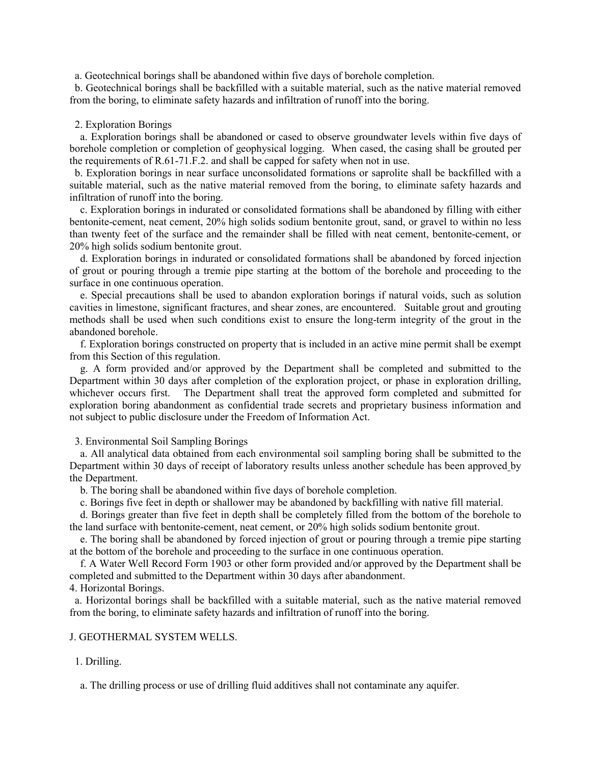a. Geotechnical borings shall be abandoned within five days of borehole completion.

 b. Geotechnical borings shall be backfilled with a suitable material, such as the native material removed from the boring, to eliminate safety hazards and infiltration of runoff into the boring.

#### 2. Exploration Borings

 a. Exploration borings shall be abandoned or cased to observe groundwater levels within five days of borehole completion or completion of geophysical logging. When cased, the casing shall be grouted per the requirements of R.61-71.F.2. and shall be capped for safety when not in use.

 b. Exploration borings in near surface unconsolidated formations or saprolite shall be backfilled with a suitable material, such as the native material removed from the boring, to eliminate safety hazards and infiltration of runoff into the boring.

 c. Exploration borings in indurated or consolidated formations shall be abandoned by filling with either bentonite-cement, neat cement, 20% high solids sodium bentonite grout, sand, or gravel to within no less than twenty feet of the surface and the remainder shall be filled with neat cement, bentonite-cement, or 20% high solids sodium bentonite grout.

 d. Exploration borings in indurated or consolidated formations shall be abandoned by forced injection of grout or pouring through a tremie pipe starting at the bottom of the borehole and proceeding to the surface in one continuous operation.

 e. Special precautions shall be used to abandon exploration borings if natural voids, such as solution cavities in limestone, significant fractures, and shear zones, are encountered. Suitable grout and grouting methods shall be used when such conditions exist to ensure the long-term integrity of the grout in the abandoned borehole.

 f. Exploration borings constructed on property that is included in an active mine permit shall be exempt from this Section of this regulation.

 g. A form provided and/or approved by the Department shall be completed and submitted to the Department within 30 days after completion of the exploration project, or phase in exploration drilling, whichever occurs first. The Department shall treat the approved form completed and submitted for exploration boring abandonment as confidential trade secrets and proprietary business information and not subject to public disclosure under the Freedom of Information Act.

3. Environmental Soil Sampling Borings

 a. All analytical data obtained from each environmental soil sampling boring shall be submitted to the Department within 30 days of receipt of laboratory results unless another schedule has been approved by the Department.

b. The boring shall be abandoned within five days of borehole completion.

c. Borings five feet in depth or shallower may be abandoned by backfilling with native fill material.

 d. Borings greater than five feet in depth shall be completely filled from the bottom of the borehole to the land surface with bentonite-cement, neat cement, or 20% high solids sodium bentonite grout.

 e. The boring shall be abandoned by forced injection of grout or pouring through a tremie pipe starting at the bottom of the borehole and proceeding to the surface in one continuous operation.

 f. A Water Well Record Form 1903 or other form provided and/or approved by the Department shall be completed and submitted to the Department within 30 days after abandonment.

# 4. Horizontal Borings.

 a. Horizontal borings shall be backfilled with a suitable material, such as the native material removed from the boring, to eliminate safety hazards and infiltration of runoff into the boring.

# J. GEOTHERMAL SYSTEM WELLS.

#### 1. Drilling.

a. The drilling process or use of drilling fluid additives shall not contaminate any aquifer.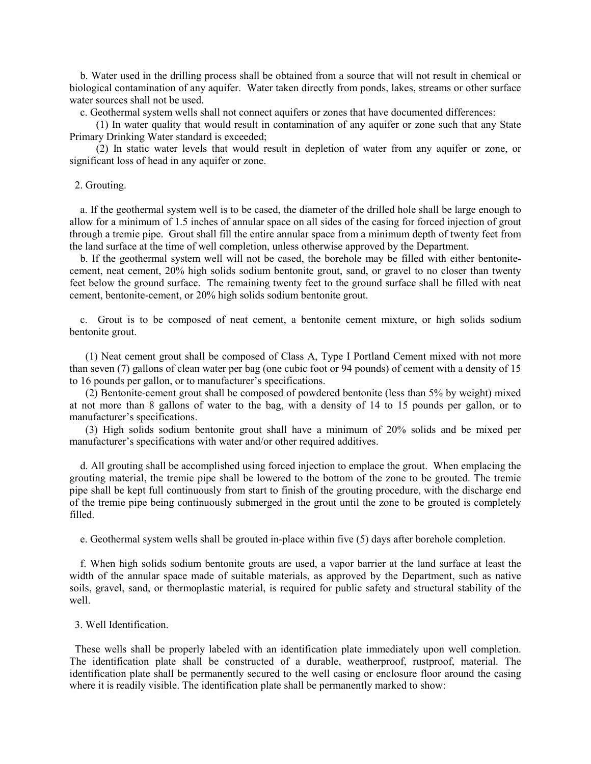b. Water used in the drilling process shall be obtained from a source that will not result in chemical or biological contamination of any aquifer. Water taken directly from ponds, lakes, streams or other surface water sources shall not be used.

c. Geothermal system wells shall not connect aquifers or zones that have documented differences:

 (1) In water quality that would result in contamination of any aquifer or zone such that any State Primary Drinking Water standard is exceeded;

 (2) In static water levels that would result in depletion of water from any aquifer or zone, or significant loss of head in any aquifer or zone.

#### 2. Grouting.

 a. If the geothermal system well is to be cased, the diameter of the drilled hole shall be large enough to allow for a minimum of 1.5 inches of annular space on all sides of the casing for forced injection of grout through a tremie pipe. Grout shall fill the entire annular space from a minimum depth of twenty feet from the land surface at the time of well completion, unless otherwise approved by the Department.

 b. If the geothermal system well will not be cased, the borehole may be filled with either bentonitecement, neat cement, 20% high solids sodium bentonite grout, sand, or gravel to no closer than twenty feet below the ground surface. The remaining twenty feet to the ground surface shall be filled with neat cement, bentonite-cement, or 20% high solids sodium bentonite grout.

 c. Grout is to be composed of neat cement, a bentonite cement mixture, or high solids sodium bentonite grout.

 (1) Neat cement grout shall be composed of Class A, Type I Portland Cement mixed with not more than seven (7) gallons of clean water per bag (one cubic foot or 94 pounds) of cement with a density of 15 to 16 pounds per gallon, or to manufacturer's specifications.

 (2) Bentonite-cement grout shall be composed of powdered bentonite (less than 5% by weight) mixed at not more than 8 gallons of water to the bag, with a density of 14 to 15 pounds per gallon, or to manufacturer's specifications.

 (3) High solids sodium bentonite grout shall have a minimum of 20% solids and be mixed per manufacturer's specifications with water and/or other required additives.

 d. All grouting shall be accomplished using forced injection to emplace the grout. When emplacing the grouting material, the tremie pipe shall be lowered to the bottom of the zone to be grouted. The tremie pipe shall be kept full continuously from start to finish of the grouting procedure, with the discharge end of the tremie pipe being continuously submerged in the grout until the zone to be grouted is completely filled.

e. Geothermal system wells shall be grouted in-place within five (5) days after borehole completion.

 f. When high solids sodium bentonite grouts are used, a vapor barrier at the land surface at least the width of the annular space made of suitable materials, as approved by the Department, such as native soils, gravel, sand, or thermoplastic material, is required for public safety and structural stability of the well.

3. Well Identification.

 These wells shall be properly labeled with an identification plate immediately upon well completion. The identification plate shall be constructed of a durable, weatherproof, rustproof, material. The identification plate shall be permanently secured to the well casing or enclosure floor around the casing where it is readily visible. The identification plate shall be permanently marked to show: